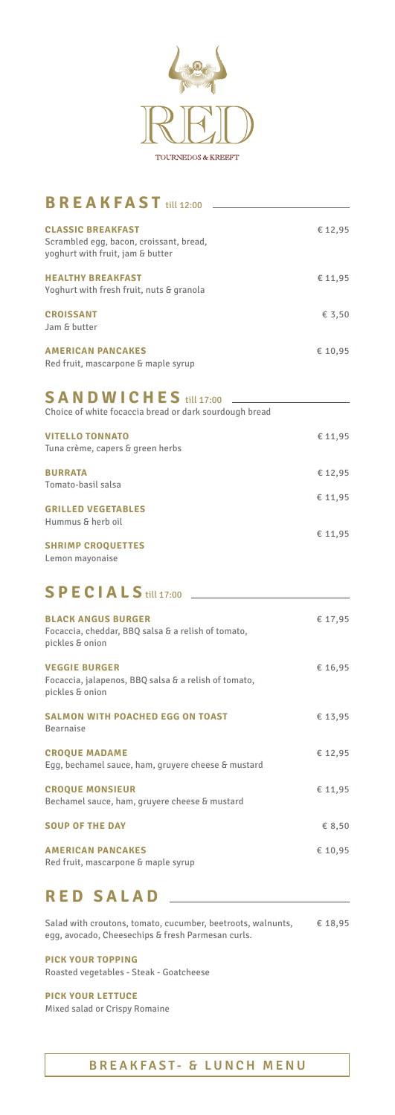

# **BREAKFAST** till 12:00

€ 8,50

| <b>CLASSIC BREAKFAST</b><br>Scrambled egg, bacon, croissant, bread,<br>yoghurt with fruit, jam & butter | € 12,95 |
|---------------------------------------------------------------------------------------------------------|---------|
| <b>HEALTHY BREAKFAST</b><br>Yoghurt with fresh fruit, nuts & granola                                    | € 11,95 |
| <b>CROISSANT</b><br>Jam & butter                                                                        | € 3,50  |
| <b>AMERICAN PANCAKES</b><br>Red fruit, mascarpone & maple syrup                                         | € 10.95 |

| Choice of white focaccia bread or dark sourdough bread     |         |
|------------------------------------------------------------|---------|
| <b>VITELLO TONNATO</b><br>Tuna crème, capers & green herbs | € 11,95 |
| <b>BURRATA</b><br>Tomato-basil salsa                       | € 12,95 |
| <b>GRILLED VEGETABLES</b><br>Hummus & herb oil             | € 11,95 |
| <b>SHRIMP CROQUETTES</b><br>Lemon mayonaise                | € 11,95 |

### **SANDWICHES** till 17:00

| <b>BLACK ANGUS BURGER</b><br>Focaccia, cheddar, BBQ salsa & a relish of tomato,<br>pickles & onion | € 17,95 |
|----------------------------------------------------------------------------------------------------|---------|
| <b>VEGGIE BURGER</b><br>Focaccia, jalapenos, BBQ salsa & a relish of tomato,<br>pickles & onion    | € 16,95 |
| <b>SALMON WITH POACHED EGG ON TOAST</b><br><b>Bearnaise</b>                                        | € 13,95 |
| <b>CROQUE MADAME</b><br>Egg, bechamel sauce, ham, gruyere cheese & mustard                         | € 12,95 |
| <b>CROQUE MONSIEUR</b><br>Bechamel sauce, ham, gruyere cheese & mustard                            | € 11,95 |

# **SPECIALS** till 17:00

€ 18,95 Salad with croutons, tomato, cucumber, beetroots, walnunts, egg, avocado, Cheesechips & fresh Parmesan curls.

**SOUP OF THE DAY**

**AMERICAN PANCAKES** Red fruit, mascarpone & maple syrup

### **RED SALAD**

**PICK YOUR TOPPING** Roasted vegetables - Steak - Goatcheese

**PICK YOUR LETTUCE** Mixed salad or Crispy Romaine

#### **BREAKFAST- & LUNCH MENU**